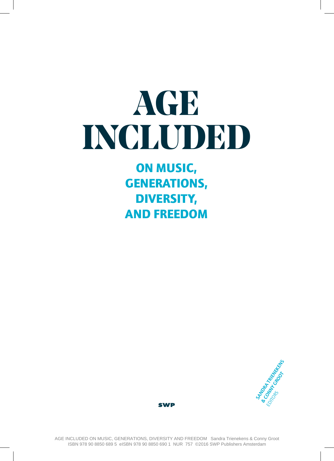# **AGE INCLUDED**

### **ON MUSIC, GENERATIONS, DIVERSITY, AND FREEDOM**



**SWP**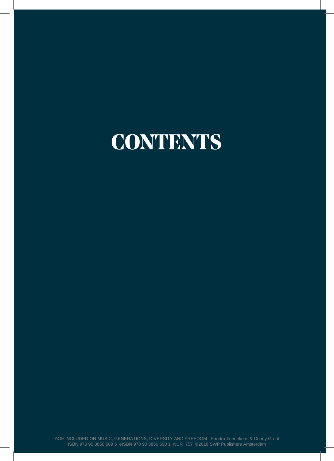## **CONTENTS**

AGE INCLUDED ON MUSIC, GENERATIONS, DIVERSITY AND FREEDOM Sandra Trienekens & Conny Groot ISBN 978 90 8850 689 5 eISBN 978 90 8850 690 1 NUR 757 ©2016 SWP Publishers Amsterdam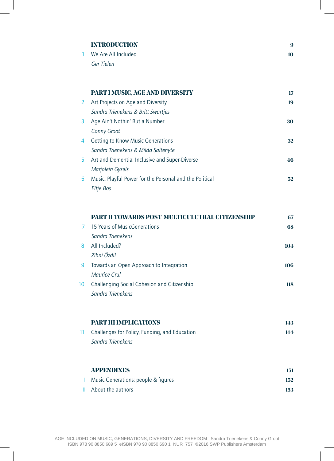| <b>INTRODUCTION</b>    |
|------------------------|
| 1. We Are All Included |
| Ger Tielen             |

**9 10**

|    | PART I MUSIC, AGE AND DIVERSITY                         | 17 |
|----|---------------------------------------------------------|----|
|    | 2. Art Projects on Age and Diversity                    | 19 |
|    | Sandra Trienekens & Britt Swartjes                      |    |
|    | 3. Age Ain't Nothin' But a Number                       | 30 |
|    | <b>Conny Groot</b>                                      |    |
|    | 4. Getting to Know Music Generations                    | 32 |
|    | Sandra Trienekens & Milda Saltenyte                     |    |
|    | 5. Art and Dementia: Inclusive and Super-Diverse        | 46 |
|    | <b>Marjolein Gysels</b>                                 |    |
| 6. | Music: Playful Power for the Personal and the Political | 52 |
|    | Eltje Bos                                               |    |

|                | PART II TOWARDS POST-MULTICULUTRAL CITIZENSHIP  | 67  |
|----------------|-------------------------------------------------|-----|
| 7 <sup>7</sup> | 15 Years of MusicGenerations                    | 68  |
|                | Sandra Trienekens                               |     |
| 8.             | All Included?                                   | 104 |
|                | Zihni Özdil                                     |     |
|                | 9. Towards an Open Approach to Integration      | 106 |
|                | Maurice Crul                                    |     |
|                | 10. Challenging Social Cohesion and Citizenship | 118 |
|                | Sandra Trienekens                               |     |
|                |                                                 |     |
|                |                                                 |     |

| PART III IMPLICATIONS                             |     |
|---------------------------------------------------|-----|
| 11. Challenges for Policy, Funding, and Education | 144 |
| Sandra Trienekens                                 |     |

| <b>APPENDIXES</b>                   | 151 |
|-------------------------------------|-----|
| Music Generations: people & figures | 152 |
| II About the authors                | 153 |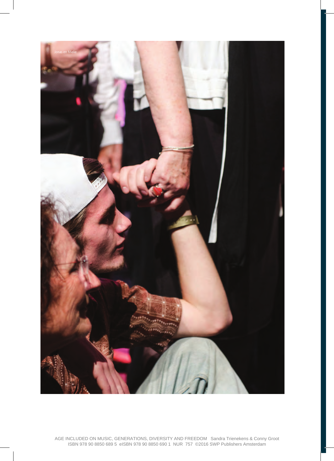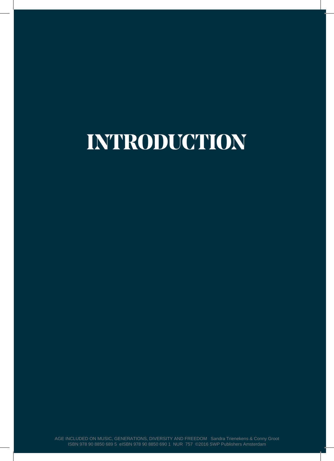## **INTRODUCTION**

AGE INCLUDED ON MUSIC, GENERATIONS, DIVERSITY AND FREEDOM Sandra Trienekens & Conny Groot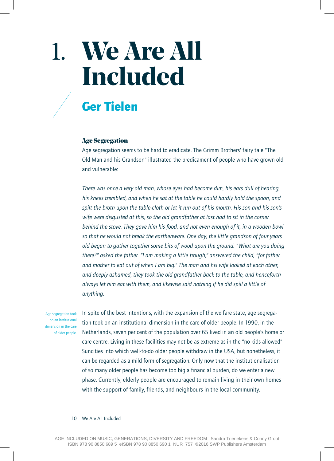### **We Are All Included** 1.

### **Ger Tielen**

#### Age Segregation

Age segregation seems to be hard to eradicate. The Grimm Brothers' fairy tale "The Old Man and his Grandson" illustrated the predicament of people who have grown old and vulnerable:

*There was once a very old man, whose eyes had become dim, his ears dull of hearing, his knees trembled, and when he sat at the table he could hardly hold the spoon, and spilt the broth upon the table-cloth or let it run out of his mouth. His son and his son's wife were disgusted at this, so the old grandfather at last had to sit in the corner behind the stove. They gave him his food, and not even enough of it, in a wooden bowl so that he would not break the earthenware. One day, the little grandson of four years old began to gather together some bits of wood upon the ground. "What are you doing there?" asked the father. "I am making a little trough," answered the child, "for father and mother to eat out of when I am big." The man and his wife looked at each other, and deeply ashamed, they took the old grandfather back to the table, and henceforth always let him eat with them, and likewise said nothing if he did spill a little of anything.*

Age segregation took on an institutional dimension in the care of older people. In spite of the best intentions, with the expansion of the welfare state, age segregation took on an institutional dimension in the care of older people. In 1990, in the Netherlands, seven per cent of the population over 65 lived in an old people's home or care centre. Living in these facilities may not be as extreme as in the "no kids allowed" Suncities into which well-to-do older people withdraw in the USA, but nonetheless, it can be regarded as a mild form of segregation. Only now that the institutionalisation of so many older people has become too big a financial burden, do we enter a new phase. Currently, elderly people are encouraged to remain living in their own homes with the support of family, friends, and neighbours in the local community.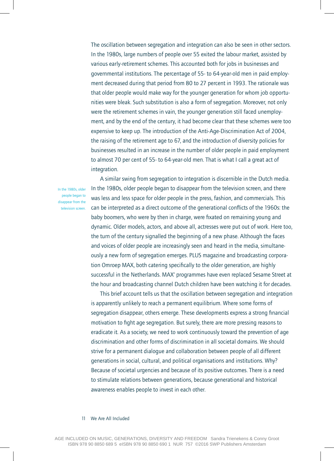The oscillation between segregation and integration can also be seen in other sectors. In the 1980s, large numbers of people over 55 exited the labour market, assisted by various early-retirement schemes. This accounted both for jobs in businesses and governmental institutions. The percentage of 55- to 64-year-old men in paid employment decreased during that period from 80 to 27 percent in 1993. The rationale was that older people would make way for the younger generation for whom job opportunities were bleak. Such substitution is also a form of segregation. Moreover, not only were the retirement schemes in vain, the younger generation still faced unemployment, and by the end of the century, it had become clear that these schemes were too expensive to keep up. The introduction of the Anti-Age-Discrimination Act of 2004, the raising of the retirement age to 67, and the introduction of diversity policies for businesses resulted in an increase in the number of older people in paid employment to almost 70 per cent of 55- to 64-year-old men. That is what I call a great act of integration.

In the 1980s, older people began to disappear from the television screen.

A similar swing from segregation to integration is discernible in the Dutch media. In the 1980s, older people began to disappear from the television screen, and there was less and less space for older people in the press, fashion, and commercials. This can be interpreted as a direct outcome of the generational conflicts of the 1960s: the baby boomers, who were by then in charge, were fixated on remaining young and dynamic. Older models, actors, and above all, actresses were put out of work. Here too, the turn of the century signalled the beginning of a new phase. Although the faces and voices of older people are increasingly seen and heard in the media, simultaneously a new form of segregation emerges. PLUS magazine and broadcasting corporation Omroep MAX, both catering specifically to the older generation, are highly successful in the Netherlands. MAX' programmes have even replaced Sesame Street at the hour and broadcasting channel Dutch children have been watching it for decades.

 This brief account tells us that the oscillation between segregation and integration is apparently unlikely to reach a permanent equilibrium. Where some forms of segregation disappear, others emerge. These developments express a strong financial motivation to fight age segregation. But surely, there are more pressing reasons to eradicate it. As a society, we need to work continuously toward the prevention of age discrimination and other forms of discrimination in all societal domains. We should strive for a permanent dialogue and collaboration between people of all different generations in social, cultural, and political organisations and institutions. Why? Because of societal urgencies and because of its positive outcomes. There is a need to stimulate relations between generations, because generational and historical awareness enables people to invest in each other.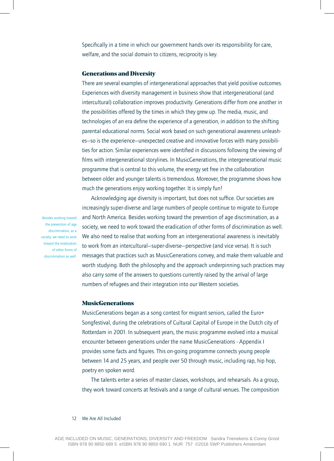Specifically in a time in which our government hands over its responsibility for care. welfare, and the social domain to citizens, reciprocity is key.

#### Generations and Diversity

There are several examples of intergenerational approaches that yield positive outcomes. Experiences with diversity management in business show that intergenerational (and intercultural) collaboration improves productivity. Generations differ from one another in the possibilities offered by the times in which they grew up. The media, music, and technologies of an era define the experience of a generation, in addition to the shifting parental educational norms. Social work based on such generational awareness unleashes—so is the experience—unexpected creative and innovative forces with many possibilities for action. Similar experiences were identified in discussions following the viewing of films with intergenerational storylines. In MusicGenerations, the intergenerational music programme that is central to this volume, the energy set free in the collaboration between older and younger talents is tremendous. Moreover, the programme shows how much the generations enjoy working together. It is simply fun!

Besides working toward the prevention of age discrimination, as a toward the eradication of other forms of discrimination as well.

Acknowledging age diversity is important, but does not suffice. Our societies are increasingly super-diverse and large numbers of people continue to migrate to Europe and North America. Besides working toward the prevention of age discrimination, as a society, we need to work toward the eradication of other forms of discrimination as well. society, we need to work  $\blacksquare$  We also need to realise that working from an intergenerational awareness is inevitably to work from an intercultural—super-diverse—perspective (and vice versa). It is such messages that practices such as MusicGenerations convey, and make them valuable and worth studying. Both the philosophy and the approach underpinning such practices may also carry some of the answers to questions currently raised by the arrival of large numbers of refugees and their integration into our Western societies.

#### MusicGenerations

MusicGenerations began as a song contest for migrant seniors, called the Euro+ Songfestival, during the celebrations of Cultural Capital of Europe in the Dutch city of Rotterdam in 2001. In subsequent years, the music programme evolved into a musical encounter between generations under the name MusicGenerations - Appendix I provides some facts and figures. This on-going programme connects young people between 14 and 25 years, and people over 50 through music, including rap, hip hop, poetry en spoken word.

 The talents enter a series of master classes, workshops, and rehearsals. As a group, they work toward concerts at festivals and a range of cultural venues. The composition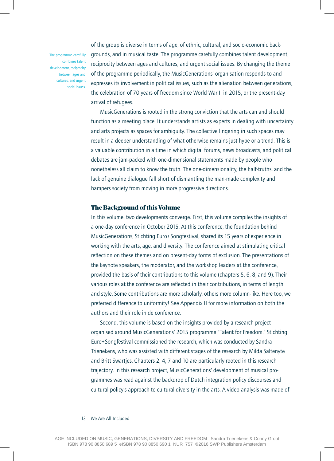The programme carefully combines talent development, reciprocity between ages and cultures, and urgent social issues.

of the group is diverse in terms of age, of ethnic, cultural, and socio-economic backgrounds, and in musical taste. The programme carefully combines talent development, reciprocity between ages and cultures, and urgent social issues. By changing the theme of the programme periodically, the MusicGenerations' organisation responds to and expresses its involvement in political issues, such as the alienation between generations, the celebration of 70 years of freedom since World War II in 2015, or the present-day arrival of refugees.

MusicGenerations is rooted in the strong conviction that the arts can and should function as a meeting place. It understands artists as experts in dealing with uncertainty and arts projects as spaces for ambiguity. The collective lingering in such spaces may result in a deeper understanding of what otherwise remains just hype or a trend. This is a valuable contribution in a time in which digital forums, news broadcasts, and political debates are jam-packed with one-dimensional statements made by people who nonetheless all claim to know the truth. The one-dimensionality, the half-truths, and the lack of genuine dialogue fall short of dismantling the man-made complexity and hampers society from moving in more progressive directions.

#### The Background of this Volume

In this volume, two developments converge. First, this volume compiles the insights of a one-day conference in October 2015. At this conference, the foundation behind MusicGenerations, Stichting Euro+Songfestival, shared its 15 years of experience in working with the arts, age, and diversity. The conference aimed at stimulating critical reflection on these themes and on present-day forms of exclusion. The presentations of the keynote speakers, the moderator, and the workshop leaders at the conference, provided the basis of their contributions to this volume (chapters 5, 6, 8, and 9). Their various roles at the conference are reflected in their contributions, in terms of length and style. Some contributions are more scholarly, others more column-like. Here too, we preferred difference to uniformity! See Appendix II for more information on both the authors and their role in de conference.

 Second, this volume is based on the insights provided by a research project organised around MusicGenerations' 2015 programme "Talent for Freedom." Stichting Euro+Songfestival commissioned the research, which was conducted by Sandra Trienekens, who was assisted with different stages of the research by Milda Saltenyte and Britt Swartjes. Chapters 2, 4, 7 and 10 are particularly rooted in this research trajectory. In this research project, MusicGenerations' development of musical programmes was read against the backdrop of Dutch integration policy discourses and cultural policy's approach to cultural diversity in the arts. A video-analysis was made of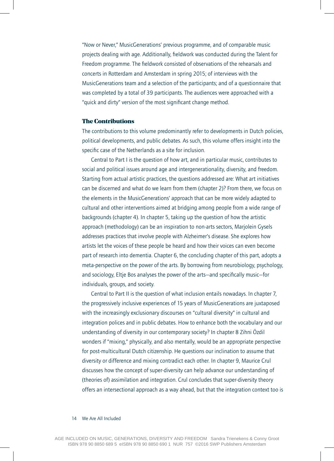"Now or Never," MusicGenerations' previous programme, and of comparable music projects dealing with age. Additionally, fieldwork was conducted during the Talent for Freedom programme. The fieldwork consisted of observations of the rehearsals and concerts in Rotterdam and Amsterdam in spring 2015; of interviews with the MusicGenerations team and a selection of the participants; and of a questionnaire that was completed by a total of 39 participants. The audiences were approached with a "quick and dirty" version of the most significant change method.

#### The Contributions

The contributions to this volume predominantly refer to developments in Dutch policies, political developments, and public debates. As such, this volume offers insight into the specific case of the Netherlands as a site for inclusion.

Central to Part I is the question of how art, and in particular music, contributes to social and political issues around age and intergenerationality, diversity, and freedom. Starting from actual artistic practices, the questions addressed are: What art initiatives can be discerned and what do we learn from them (chapter 2)? From there, we focus on the elements in the MusicGenerations' approach that can be more widely adapted to cultural and other interventions aimed at bridging among people from a wide range of backgrounds (chapter 4). In chapter 5, taking up the question of how the artistic approach (methodology) can be an inspiration to non-arts sectors, Marjolein Gysels addresses practices that involve people with Alzheimer's disease. She explores how artists let the voices of these people be heard and how their voices can even become part of research into dementia. Chapter 6, the concluding chapter of this part, adopts a meta-perspective on the power of the arts. By borrowing from neurobiology, psychology, and sociology, Eltje Bos analyses the power of the arts—and specifically music—for individuals, groups, and society.

Central to Part II is the question of what inclusion entails nowadays. In chapter 7, the progressively inclusive experiences of 15 years of MusicGenerations are juxtaposed with the increasingly exclusionary discourses on "cultural diversity" in cultural and integration polices and in public debates. How to enhance both the vocabulary and our understanding of diversity in our contemporary society? In chapter 8 Zihni Özdil wonders if "mixing," physically, and also mentally, would be an appropriate perspective for post-multicultural Dutch citizenship. He questions our inclination to assume that diversity or difference and mixing contradict each other. In chapter 9, Maurice Crul discusses how the concept of super-diversity can help advance our understanding of (theories of) assimilation and integration. Crul concludes that super-diversity theory offers an intersectional approach as a way ahead, but that the integration context too is